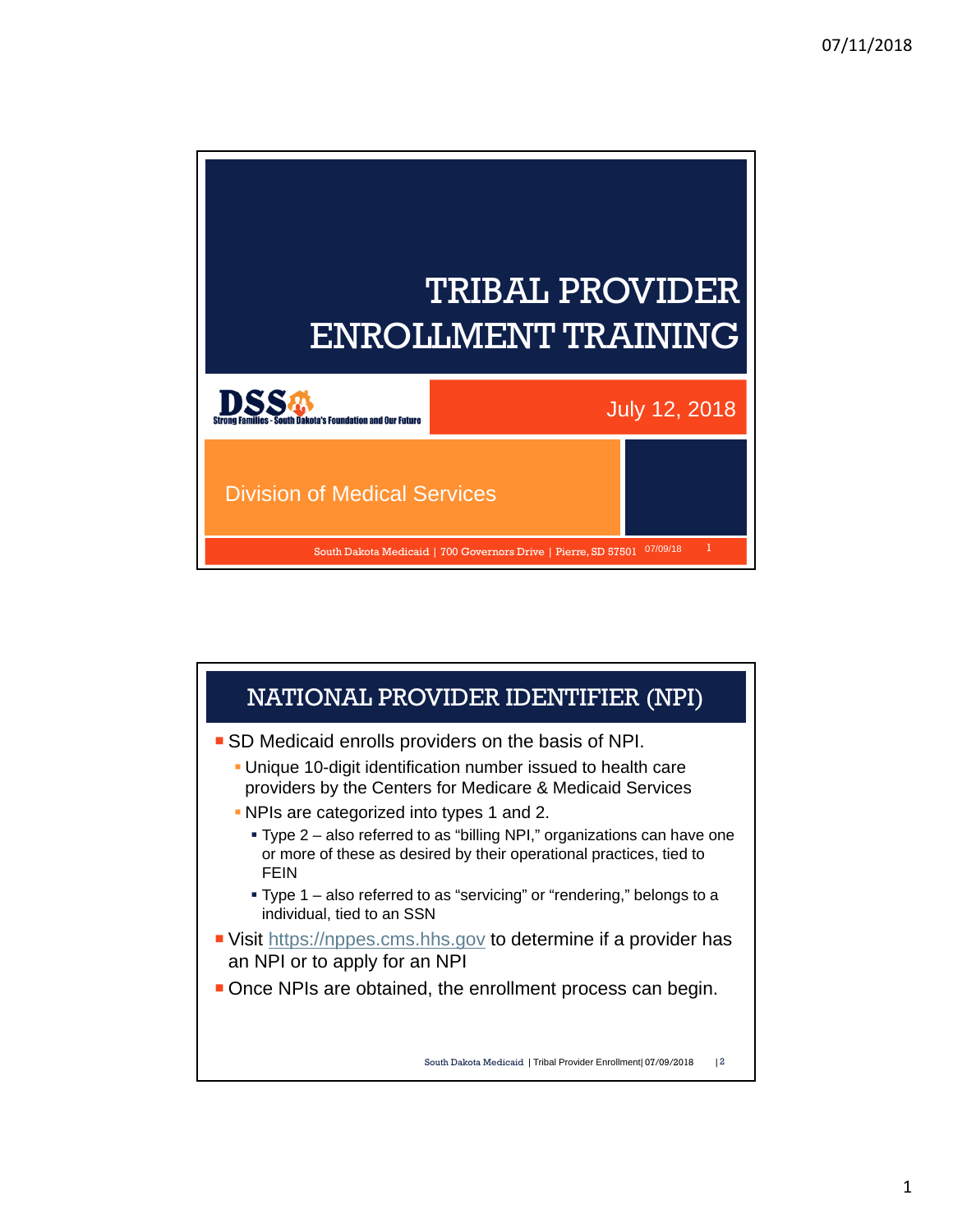

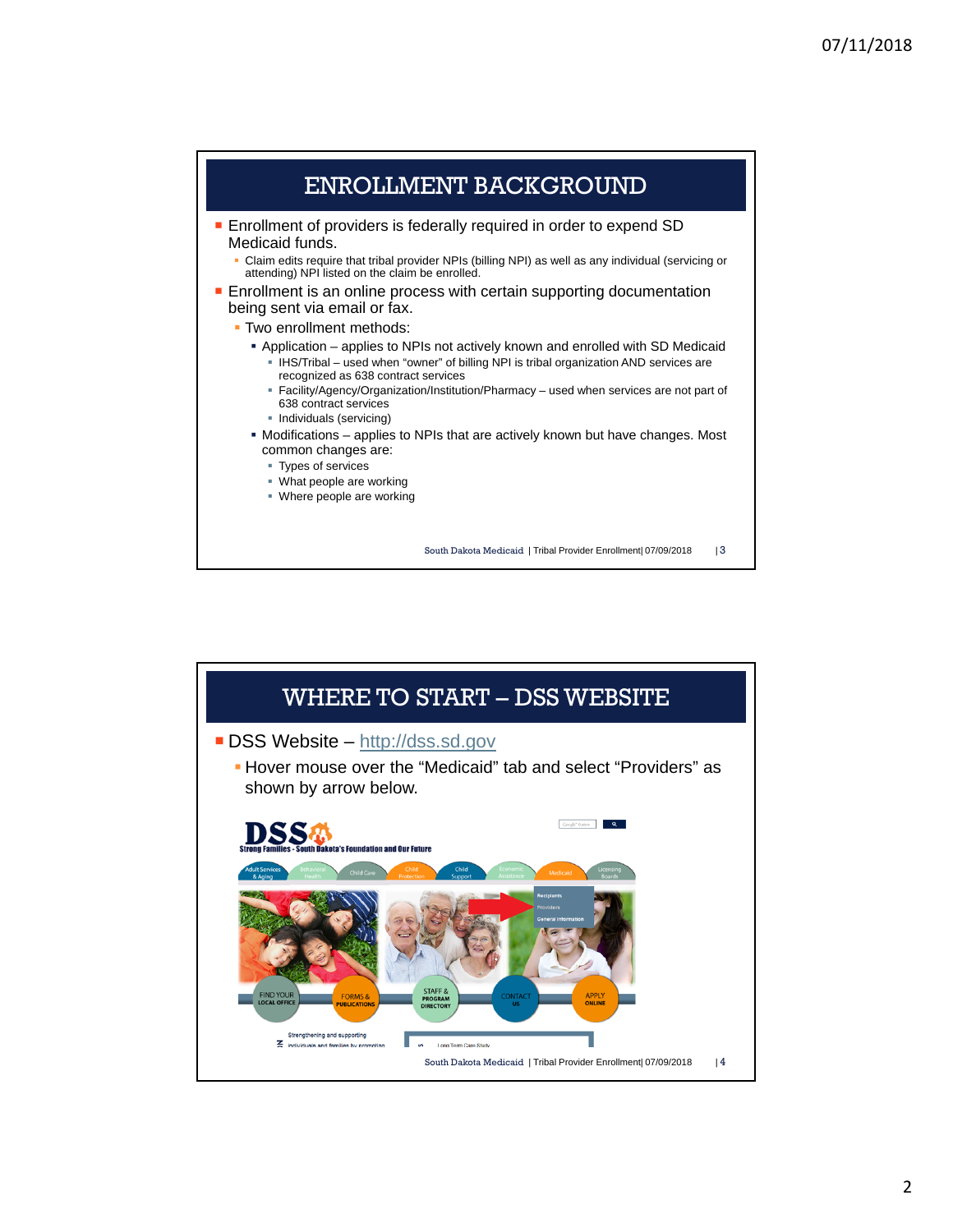

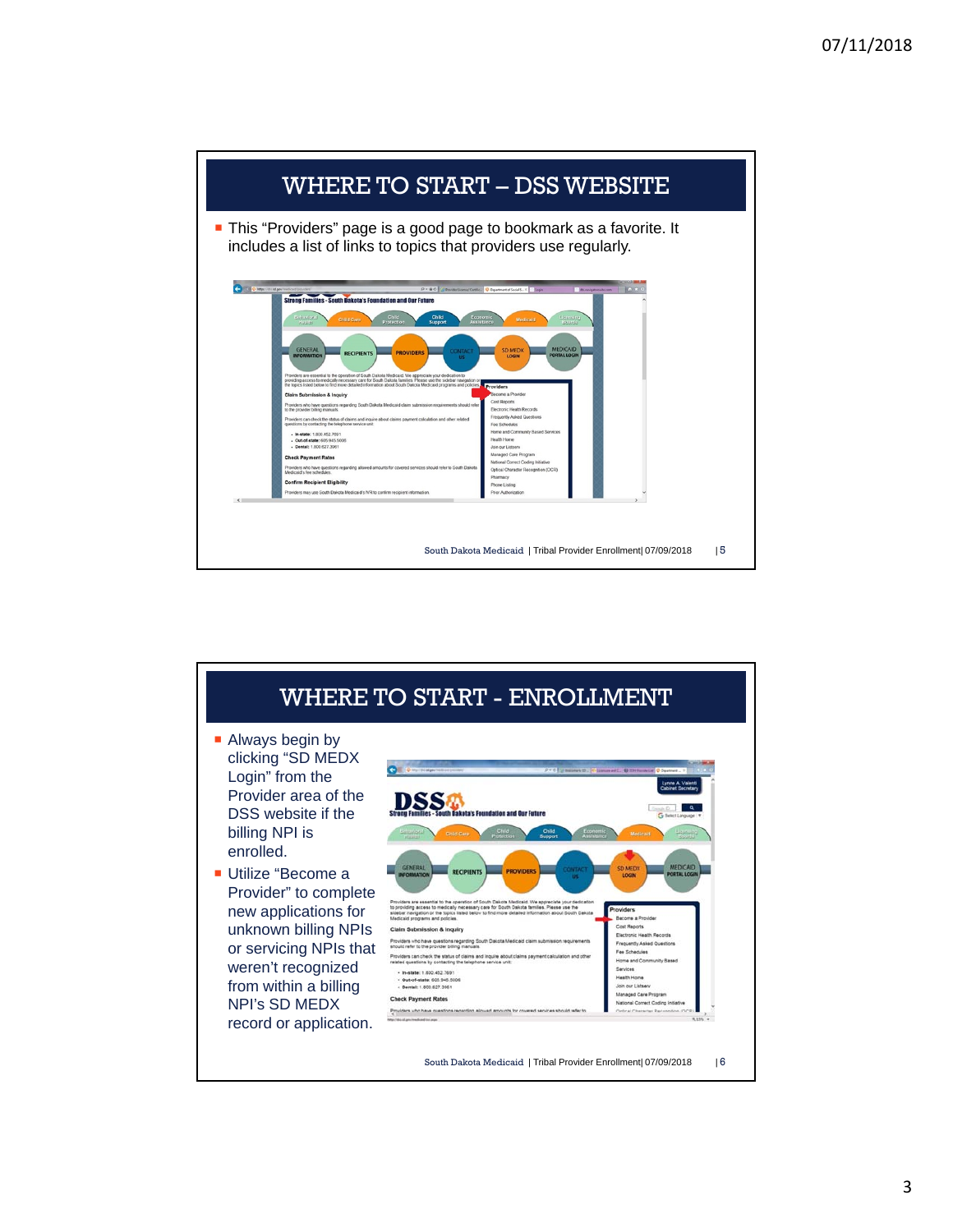

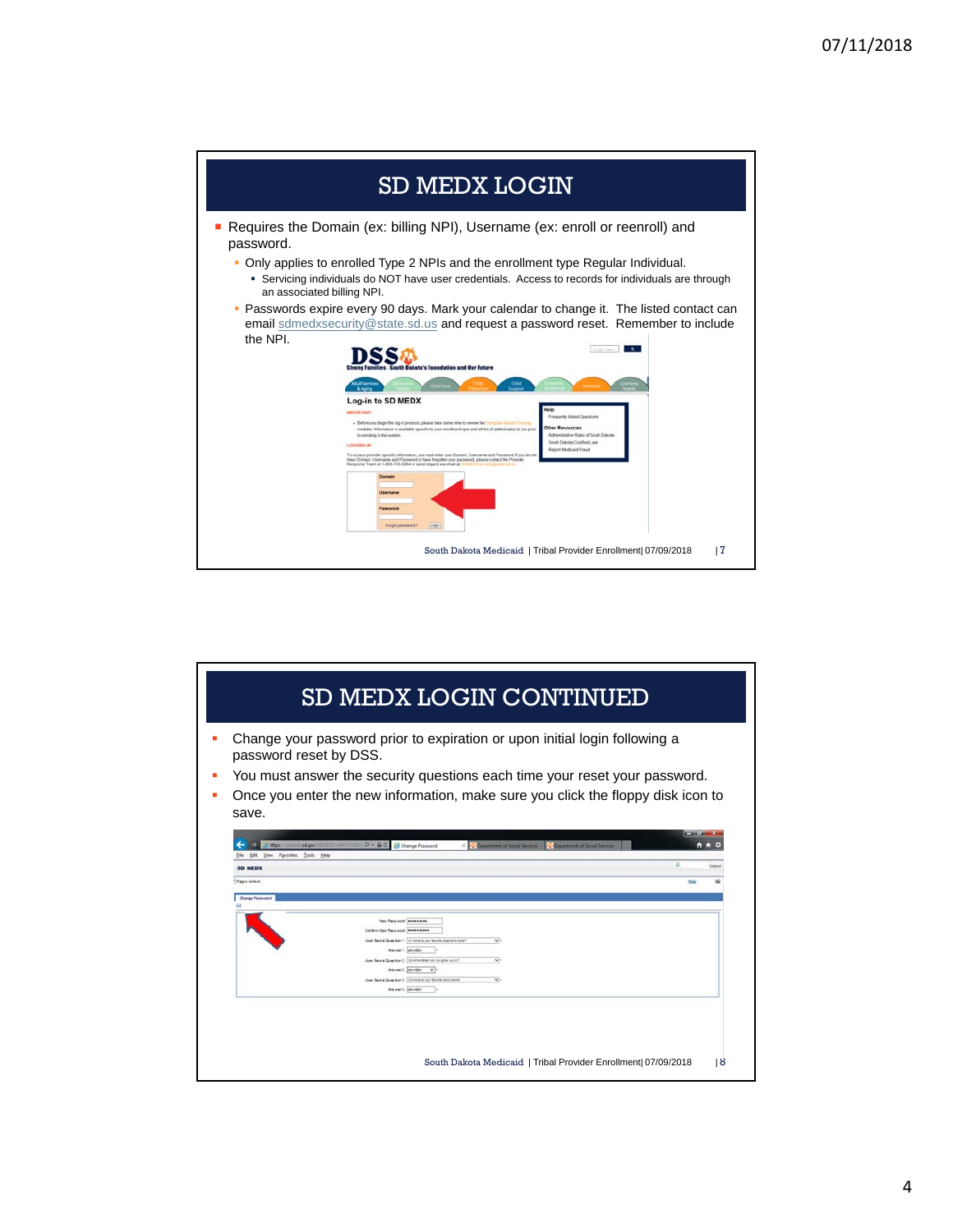| <b>SD MEDX LOGIN</b>                                                                                                                      |                                                                                                                                                                                                                                                                                                                                                                                                                                                                                                                                                                                                                                                                                                                                                                                                                             |  |  |  |  |
|-------------------------------------------------------------------------------------------------------------------------------------------|-----------------------------------------------------------------------------------------------------------------------------------------------------------------------------------------------------------------------------------------------------------------------------------------------------------------------------------------------------------------------------------------------------------------------------------------------------------------------------------------------------------------------------------------------------------------------------------------------------------------------------------------------------------------------------------------------------------------------------------------------------------------------------------------------------------------------------|--|--|--|--|
| password.<br>٠<br>an associated billing NPI.<br>the NPI.<br>Log-in to SD MEDX<br><b>BEPORTANT</b><br>to enrolling in the system.          | Requires the Domain (ex: billing NPI), Username (ex: enroll or reenroll) and<br>Only applies to enrolled Type 2 NPIs and the enrollment type Regular Individual.<br>• Servicing individuals do NOT have user credentials. Access to records for individuals are through<br>Passwords expire every 90 days. Mark your calendar to change it. The listed contact can<br>email sdmedxsecurity@state.sd.us and request a password reset. Remember to include<br>skota's Foundation and Our Future<br>Chike<br>feld<br>Frequently Asked Questions<br>- Before you begin the log-in process, please take some time to review the Computer Bened Training<br>Other Resources<br>modules. Information is available specific to your enrolment type and will be of added value to you prior.<br>Administrative Rules of South Dakota |  |  |  |  |
| <b>LOGGING IN</b><br>Response Team at 1-800-718-0084 or send request via email at 1<br>Domain<br>Username<br>Password<br>Forgot password? | South Dakota Codified Lew<br><b>Report Medicald Fough</b><br>To access provider specific information, you must enter your Domain, Username and Password. If you do not<br>have Domain, Usemame and Password or have forgotten your password, please contact the Provider<br>Lingw<br>17<br>South Dakota Medicaid   Tribal Provider Enrollment 07/09/2018                                                                                                                                                                                                                                                                                                                                                                                                                                                                    |  |  |  |  |

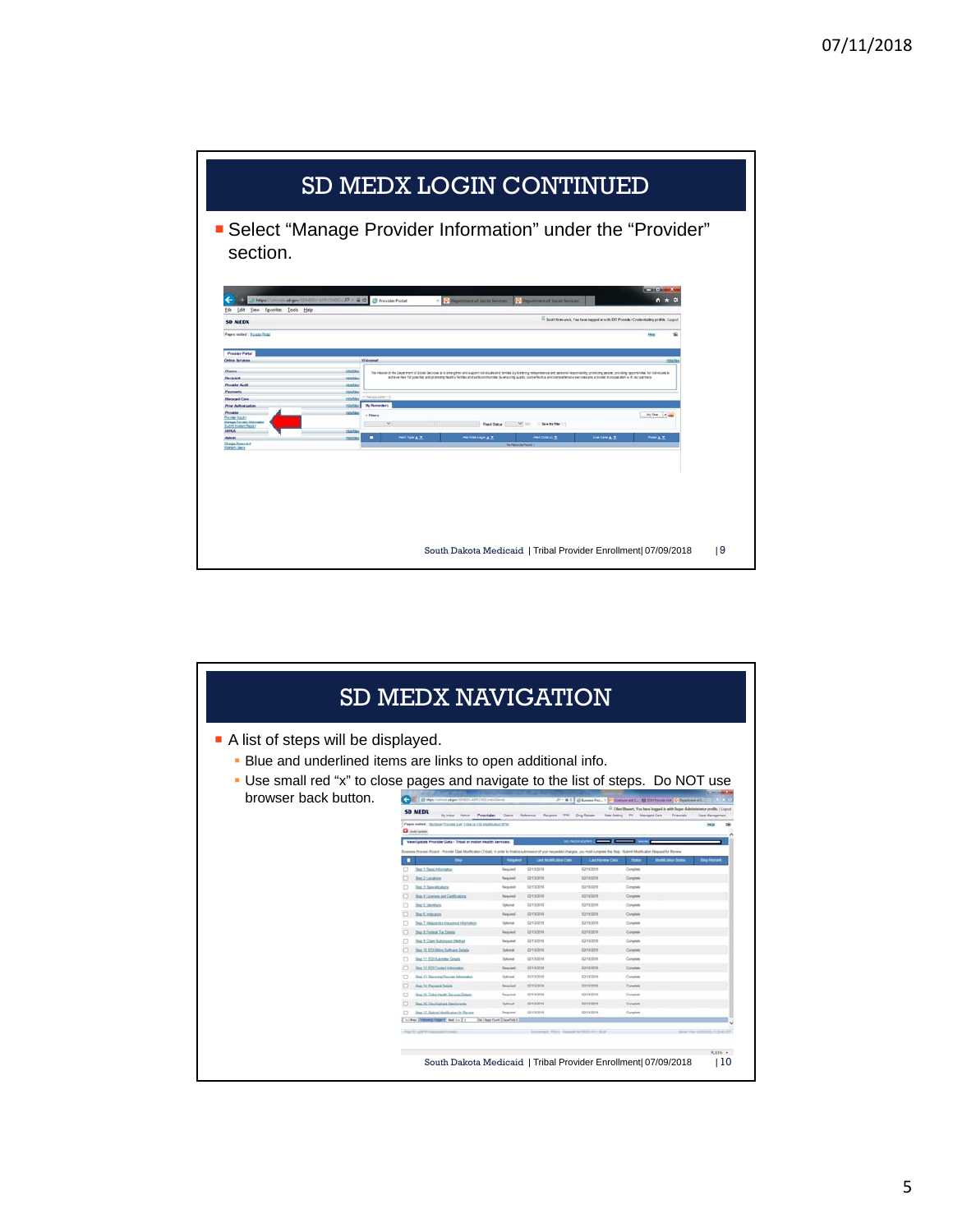

| A list of steps will be displayed.                                                  |                                                                                                                                                                 |                               |                                                         |                          |                                                                                  |                      |
|-------------------------------------------------------------------------------------|-----------------------------------------------------------------------------------------------------------------------------------------------------------------|-------------------------------|---------------------------------------------------------|--------------------------|----------------------------------------------------------------------------------|----------------------|
| . Blue and underlined items are links to open additional info.                      |                                                                                                                                                                 |                               |                                                         |                          |                                                                                  |                      |
| Use small red "x" to close pages and navigate to the list of steps. Do NOT use<br>ш |                                                                                                                                                                 |                               |                                                         |                          |                                                                                  |                      |
| browser back button.                                                                | <b>CR BMA SPANNARY DISCOVERING</b>                                                                                                                              |                               |                                                         |                          | P . B C Bonnifect : Chemister C Billifecturer C Date                             |                      |
|                                                                                     | <b>SD MEDX</b>                                                                                                                                                  |                               |                                                         |                          | <sup>52</sup> Ellen Showet, You have logged by with Super Administrator profile. |                      |
|                                                                                     | Pages visited : Mchillan Provide Lat Total or Hill Multicator DFS<br><b>Q</b> Undertaken                                                                        |                               | Myldex Adria Provider Care Referes Request TR Dug-Rober |                          | Rate Setting PA Managed Care<br>Financials                                       | Case Management      |
|                                                                                     | View/Update Provider Data - Tribat or indian Health Services:                                                                                                   |                               |                                                         | SO PRIDE BUNK            |                                                                                  |                      |
|                                                                                     | was Process Waters'. Provide Data Modification (Tribal). In order to finalize submission of your requested shanges, you must complete the Day - Submit Modifics |                               |                                                         |                          | ation Electronic for Electro                                                     |                      |
|                                                                                     |                                                                                                                                                                 |                               | Last Min                                                | <b>Last Reverse Date</b> | <b>No</b><br><b>Modification Dialta</b>                                          | <b>Diep Fierrant</b> |
|                                                                                     | <b>Sep 1. Dani, Internation</b>                                                                                                                                 | <b>Georgian</b>               | 02122016                                                | 02132018                 | Complete                                                                         |                      |
|                                                                                     | <b>But 2 Louises</b><br>Ther 3. Sensatizations                                                                                                                  | Eugaret<br>Fieguras           | 6213001<br>02132016                                     | 62130018<br>02132218     | Conglete<br>Complete                                                             |                      |
|                                                                                     | <b>But A Laurence and Centrature</b>                                                                                                                            | Repaired                      | 03132016                                                | EUTSOEN                  | Conglete                                                                         |                      |
|                                                                                     | <b>That 5 Sheltfield</b>                                                                                                                                        | Optional                      | EDITORIES                                               | 62/02018                 | Complete                                                                         |                      |
|                                                                                     | <b>They II</b> believing                                                                                                                                        | Resent                        | 03132019                                                | EDITORIA                 | Complete                                                                         |                      |
|                                                                                     | <b>Deal 7. Militar Asia Environt Infarrato</b>                                                                                                                  | Dated                         | 02132018                                                | EDITABLE                 | Complete                                                                         |                      |
|                                                                                     | <b>Thus 3. Findered Tax Dollaris</b>                                                                                                                            | Festival                      | EDYSOERS                                                | <b>E2130018</b>          | Corplate                                                                         |                      |
|                                                                                     | They It. Claim Submasses Methan                                                                                                                                 | <b><i><u>Resident</u></i></b> | <b>STATE SCIENT</b>                                     | <b>EDITATION</b>         | Comptete                                                                         |                      |
|                                                                                     | <b>Bas 12, EDI Billing Suffront Details</b>                                                                                                                     | Delivered                     | 00133010                                                | 02/13/2018               | Corplete                                                                         |                      |
|                                                                                     | Step 17, ECE Superster Details                                                                                                                                  | Outland                       | EZT32016                                                | spraging                 | Complete                                                                         |                      |
|                                                                                     | <b>Next 12 4TX Curricul Information</b>                                                                                                                         | Region                        | <b>DOYSOF</b>                                           | EPO201                   | Complete                                                                         |                      |
|                                                                                     | <b>Star 13. Serveras Provider Information</b>                                                                                                                   | Outlasse                      | 63Y192610<br><b>Windows</b>                             | 62132019<br>EPO201       | Complete<br>Complete                                                             |                      |
|                                                                                     | <b>Thru 14. Payment Details</b><br><b>That 15: Tobat musth Services Details</b>                                                                                 | Republic<br>Essayed           | 62132010                                                | 02130219                 | Complete                                                                         |                      |
|                                                                                     | <b>Thur 15. ViewSalvad Attachments</b>                                                                                                                          | October                       | 0213581                                                 | погоста                  | Complete                                                                         |                      |
|                                                                                     | That 17. Submit Madfission for Record                                                                                                                           | Exching                       | 02/12/2010                                              | <b>COVEDORE</b>          | Complete                                                                         |                      |
|                                                                                     |                                                                                                                                                                 |                               |                                                         |                          |                                                                                  |                      |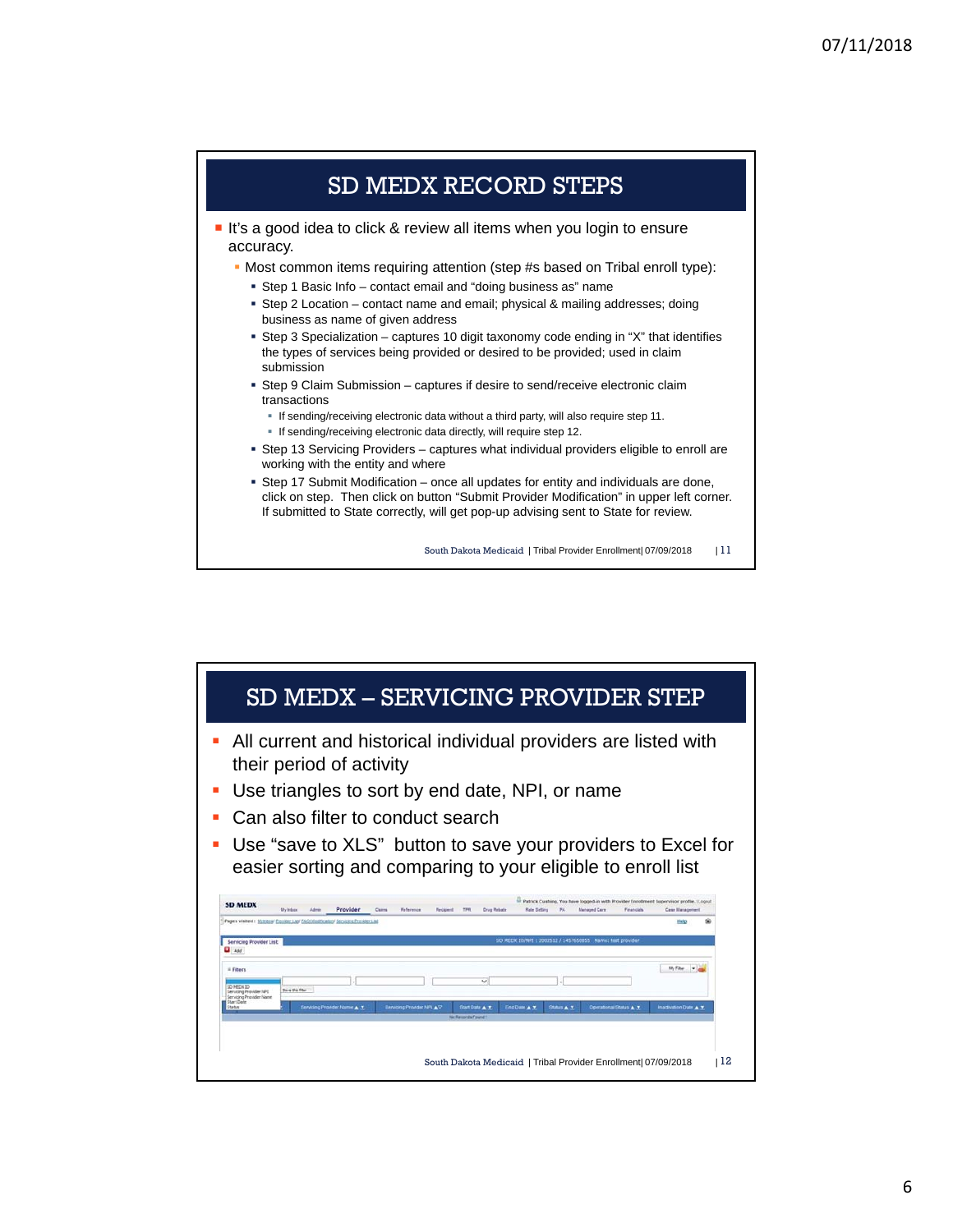

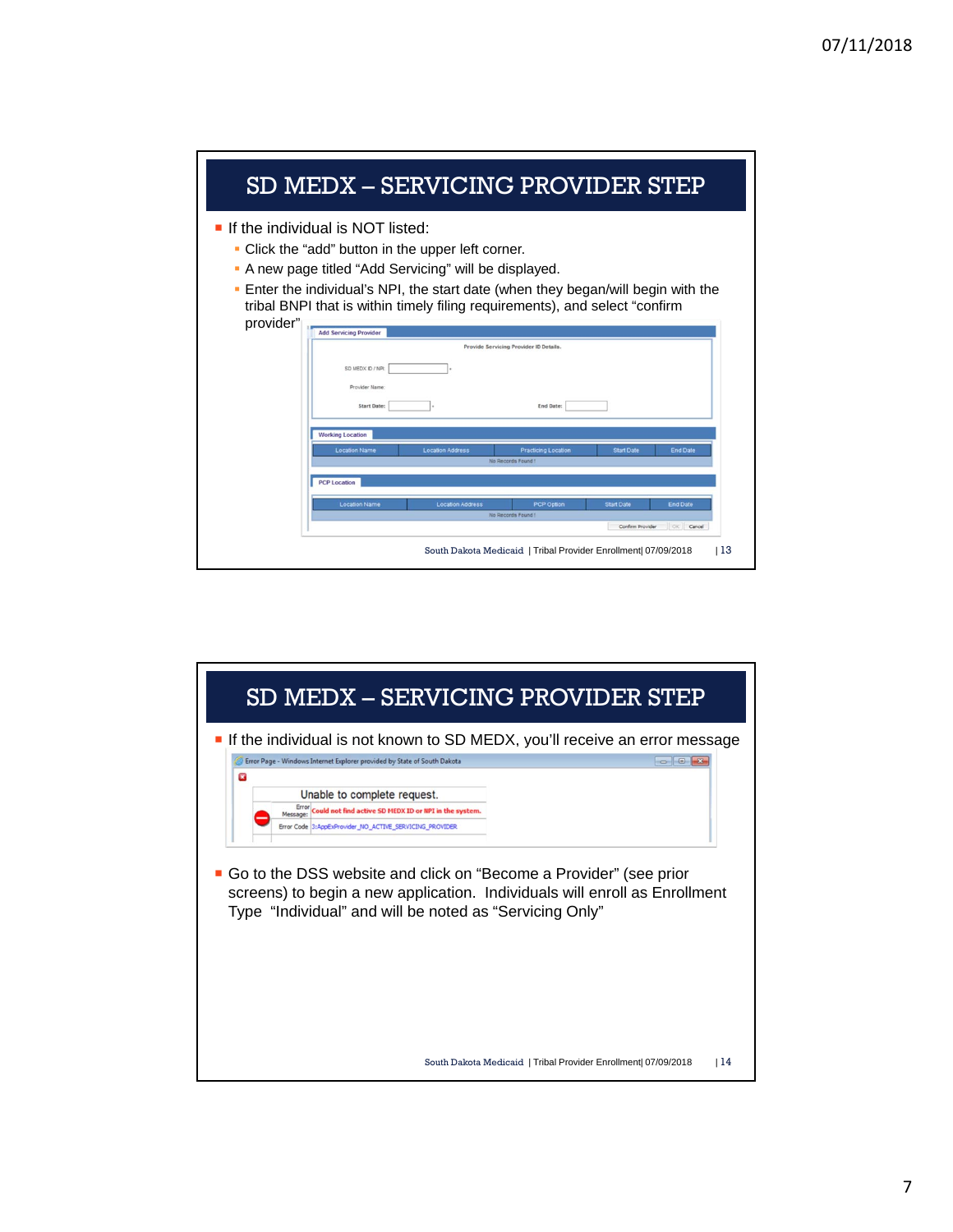| SD MEDX - SERVICING PROVIDER STEP                                                                                                                                                                                                                                                                                             |  |  |  |  |  |  |  |  |
|-------------------------------------------------------------------------------------------------------------------------------------------------------------------------------------------------------------------------------------------------------------------------------------------------------------------------------|--|--|--|--|--|--|--|--|
| If the individual is NOT listed:<br>Click the "add" button in the upper left corner.<br>٠<br>A new page titled "Add Servicing" will be displayed.<br>п<br>Enter the individual's NPI, the start date (when they began/will begin with the<br>٠<br>tribal BNPI that is within timely filing requirements), and select "confirm |  |  |  |  |  |  |  |  |
| provider"<br><b>Add Servicing Provider</b>                                                                                                                                                                                                                                                                                    |  |  |  |  |  |  |  |  |
| Provide Servicing Provider ID Details.                                                                                                                                                                                                                                                                                        |  |  |  |  |  |  |  |  |
| SD MEDX ID / NPL<br>Provider Name                                                                                                                                                                                                                                                                                             |  |  |  |  |  |  |  |  |
| <b>Start Date:</b><br>End Date:                                                                                                                                                                                                                                                                                               |  |  |  |  |  |  |  |  |
|                                                                                                                                                                                                                                                                                                                               |  |  |  |  |  |  |  |  |
| <b>Working Location</b>                                                                                                                                                                                                                                                                                                       |  |  |  |  |  |  |  |  |
| <b>Location Name</b><br><b>Start Date</b><br><b>End Date</b><br><b>Location Address</b><br><b>Practicing Location</b><br>No Records Found!                                                                                                                                                                                    |  |  |  |  |  |  |  |  |
| <b>PCP Location</b>                                                                                                                                                                                                                                                                                                           |  |  |  |  |  |  |  |  |
| <b>End Date</b><br><b>Location Name</b><br><b>Location Address</b><br>PCP Option<br><b>Start Date</b>                                                                                                                                                                                                                         |  |  |  |  |  |  |  |  |
| No Records Found!<br>OK Cancel<br>Confirm Provider                                                                                                                                                                                                                                                                            |  |  |  |  |  |  |  |  |
|                                                                                                                                                                                                                                                                                                                               |  |  |  |  |  |  |  |  |
| l 13<br>South Dakota Medicaid   Tribal Provider Enrollment 07/09/2018                                                                                                                                                                                                                                                         |  |  |  |  |  |  |  |  |

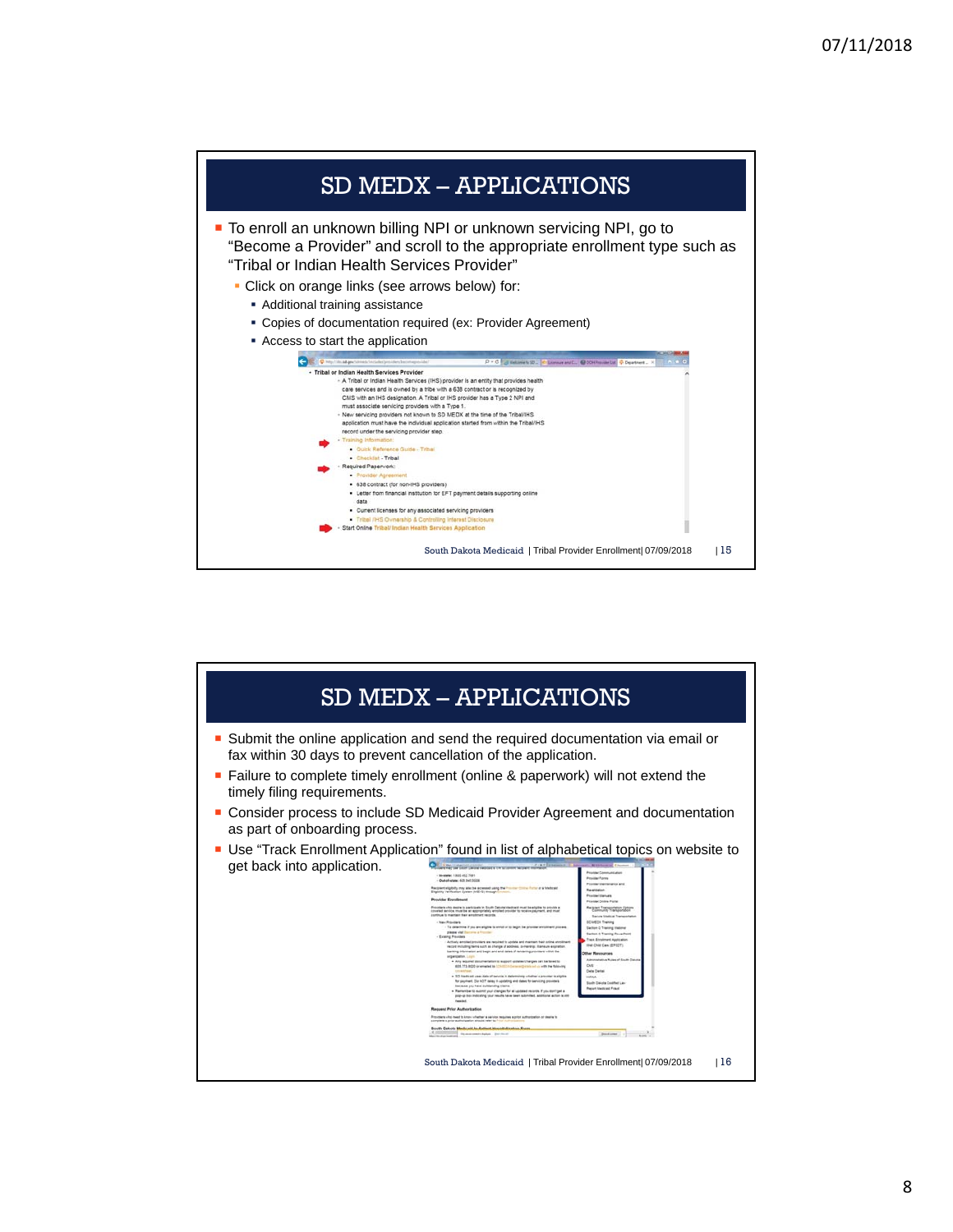

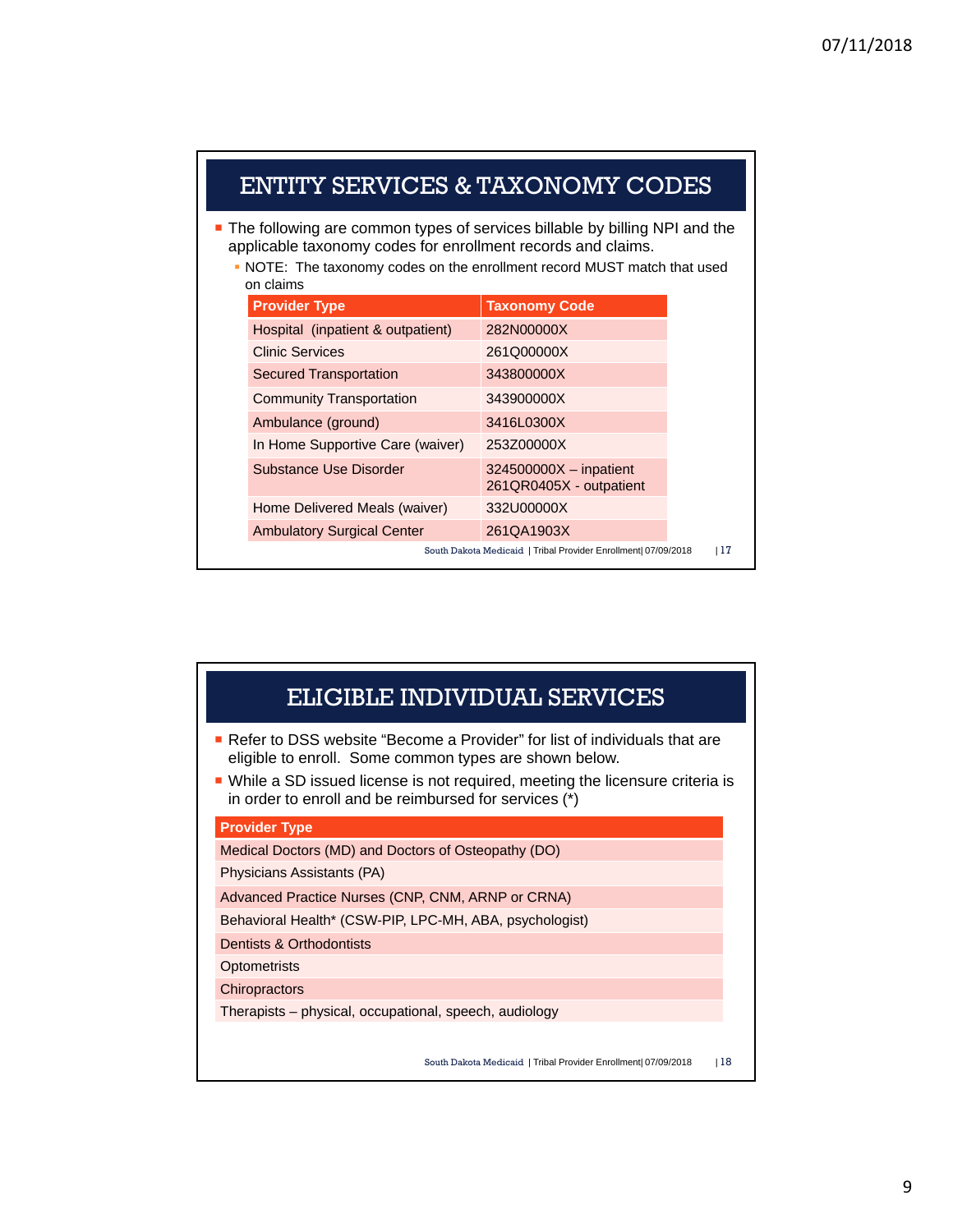| ENTITY SERVICES & TAXONOMY CODES                                                                                                                                                                                                    |                                   |                                                                |     |  |  |  |  |
|-------------------------------------------------------------------------------------------------------------------------------------------------------------------------------------------------------------------------------------|-----------------------------------|----------------------------------------------------------------|-----|--|--|--|--|
| The following are common types of services billable by billing NPI and the<br>applicable taxonomy codes for enrollment records and claims.<br>• NOTE: The taxonomy codes on the enrollment record MUST match that used<br>on claims |                                   |                                                                |     |  |  |  |  |
|                                                                                                                                                                                                                                     | <b>Provider Type</b>              | <b>Taxonomy Code</b>                                           |     |  |  |  |  |
|                                                                                                                                                                                                                                     | Hospital (inpatient & outpatient) | 282N00000X                                                     |     |  |  |  |  |
|                                                                                                                                                                                                                                     | Clinic Services                   | 261Q00000X                                                     |     |  |  |  |  |
|                                                                                                                                                                                                                                     | <b>Secured Transportation</b>     | 343800000X                                                     |     |  |  |  |  |
|                                                                                                                                                                                                                                     | <b>Community Transportation</b>   | 343900000X                                                     |     |  |  |  |  |
|                                                                                                                                                                                                                                     | Ambulance (ground)                | 3416L0300X                                                     |     |  |  |  |  |
|                                                                                                                                                                                                                                     | In Home Supportive Care (waiver)  | 253Z00000X                                                     |     |  |  |  |  |
|                                                                                                                                                                                                                                     | Substance Use Disorder            | $324500000X - inpatient$<br>261QR0405X - outpatient            |     |  |  |  |  |
|                                                                                                                                                                                                                                     | Home Delivered Meals (waiver)     | 332U00000X                                                     |     |  |  |  |  |
|                                                                                                                                                                                                                                     | <b>Ambulatory Surgical Center</b> | 261QA1903X                                                     |     |  |  |  |  |
|                                                                                                                                                                                                                                     |                                   | South Dakota Medicaid   Tribal Provider Enrollment  07/09/2018 | 117 |  |  |  |  |